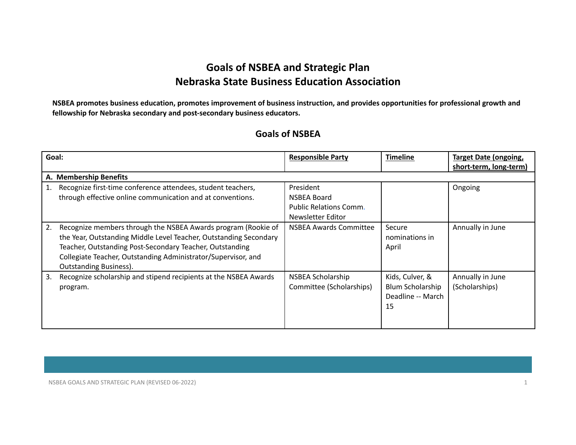## **Goals of NSBEA and Strategic Plan Nebraska State Business Education Association**

NSBEA promotes business education, promotes improvement of business instruction, and provides opportunities for professional growth and **fellowship for Nebraska secondary and post-secondary business educators.**

## **Goals of NSBEA**

| Goal: |                                                                                                                                                                                                                                                                                                  | <b>Responsible Party</b>                                                       | <b>Timeline</b>                                                | <b>Target Date (ongoing,</b><br>short-term, long-term) |
|-------|--------------------------------------------------------------------------------------------------------------------------------------------------------------------------------------------------------------------------------------------------------------------------------------------------|--------------------------------------------------------------------------------|----------------------------------------------------------------|--------------------------------------------------------|
|       | A. Membership Benefits                                                                                                                                                                                                                                                                           |                                                                                |                                                                |                                                        |
|       | Recognize first-time conference attendees, student teachers,<br>through effective online communication and at conventions.                                                                                                                                                                       | President<br>NSBEA Board<br><b>Public Relations Comm.</b><br>Newsletter Editor |                                                                | Ongoing                                                |
| 2.    | Recognize members through the NSBEA Awards program (Rookie of<br>the Year, Outstanding Middle Level Teacher, Outstanding Secondary<br>Teacher, Outstanding Post-Secondary Teacher, Outstanding<br>Collegiate Teacher, Outstanding Administrator/Supervisor, and<br><b>Outstanding Business).</b> | NSBEA Awards Committee                                                         | Secure<br>nominations in<br>April                              | Annually in June                                       |
| 3.    | Recognize scholarship and stipend recipients at the NSBEA Awards<br>program.                                                                                                                                                                                                                     | NSBEA Scholarship<br>Committee (Scholarships)                                  | Kids, Culver, &<br>Blum Scholarship<br>Deadline -- March<br>15 | Annually in June<br>(Scholarships)                     |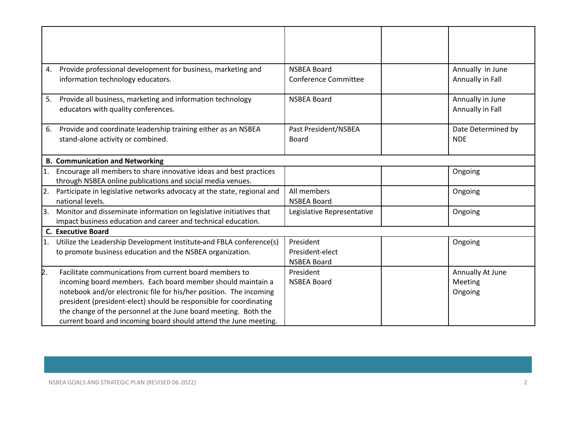| 4.  | Provide professional development for business, marketing and            | <b>NSBEA Board</b>          | Annually in June   |
|-----|-------------------------------------------------------------------------|-----------------------------|--------------------|
|     | information technology educators.                                       | <b>Conference Committee</b> | Annually in Fall   |
| 5.  | Provide all business, marketing and information technology              | <b>NSBEA Board</b>          | Annually in June   |
|     | educators with quality conferences.                                     |                             | Annually in Fall   |
| 6.  | Provide and coordinate leadership training either as an NSBEA           | Past President/NSBEA        | Date Determined by |
|     | stand-alone activity or combined.                                       | Board                       | <b>NDE</b>         |
|     | <b>B. Communication and Networking</b>                                  |                             |                    |
| 1.  | Encourage all members to share innovative ideas and best practices      |                             | Ongoing            |
|     | through NSBEA online publications and social media venues.              |                             |                    |
| 2.  | Participate in legislative networks advocacy at the state, regional and | All members                 | Ongoing            |
|     | national levels.                                                        | <b>NSBEA Board</b>          |                    |
| l3. | Monitor and disseminate information on legislative initiatives that     | Legislative Representative  | Ongoing            |
|     | impact business education and career and technical education.           |                             |                    |
|     | <b>C. Executive Board</b>                                               |                             |                    |
| 1.  | Utilize the Leadership Development Institute-and FBLA conference(s)     | President                   | Ongoing            |
|     | to promote business education and the NSBEA organization.               | President-elect             |                    |
|     |                                                                         | <b>NSBEA Board</b>          |                    |
| þ.  | Facilitate communications from current board members to                 | President                   | Annually At June   |
|     | incoming board members. Each board member should maintain a             | <b>NSBEA Board</b>          | Meeting            |
|     | notebook and/or electronic file for his/her position. The incoming      |                             | Ongoing            |
|     | president (president-elect) should be responsible for coordinating      |                             |                    |
|     | the change of the personnel at the June board meeting. Both the         |                             |                    |
|     | current board and incoming board should attend the June meeting.        |                             |                    |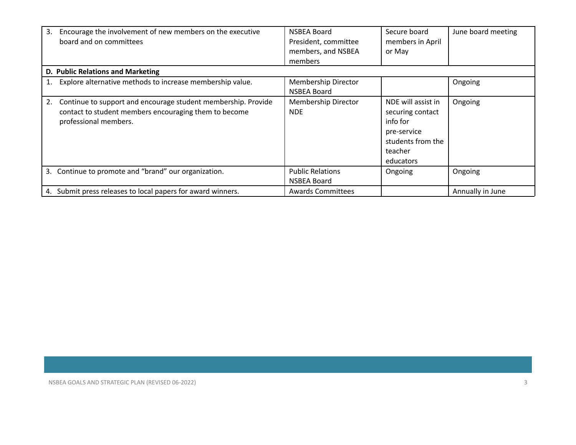| 3. | Encourage the involvement of new members on the executive<br>board and on committees                                                            | NSBEA Board<br>President, committee<br>members, and NSBEA<br>members | Secure board<br>members in April<br>or May                                                                     | June board meeting |  |  |
|----|-------------------------------------------------------------------------------------------------------------------------------------------------|----------------------------------------------------------------------|----------------------------------------------------------------------------------------------------------------|--------------------|--|--|
|    | D. Public Relations and Marketing                                                                                                               |                                                                      |                                                                                                                |                    |  |  |
|    | Explore alternative methods to increase membership value.                                                                                       | <b>Membership Director</b><br>NSBEA Board                            |                                                                                                                | Ongoing            |  |  |
| 2. | Continue to support and encourage student membership. Provide<br>contact to student members encouraging them to become<br>professional members. | Membership Director<br><b>NDE</b>                                    | NDE will assist in<br>securing contact<br>info for<br>pre-service<br>students from the<br>teacher<br>educators | Ongoing            |  |  |
|    | 3. Continue to promote and "brand" our organization.                                                                                            | <b>Public Relations</b><br>NSBEA Board                               | Ongoing                                                                                                        | Ongoing            |  |  |
| 4. | Submit press releases to local papers for award winners.                                                                                        | <b>Awards Committees</b>                                             |                                                                                                                | Annually in June   |  |  |